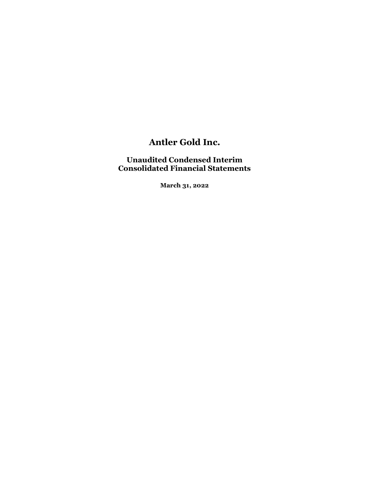## Unaudited Condensed Interim Consolidated Financial Statements

March 31, 2022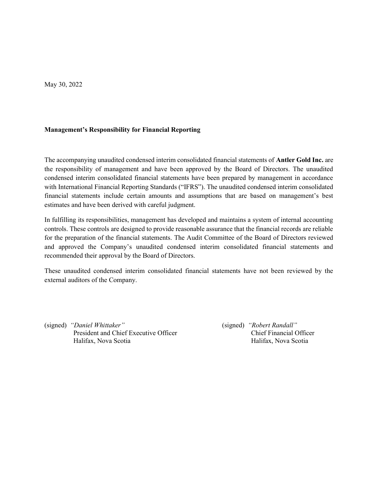May 30, 2022

#### Management's Responsibility for Financial Reporting

The accompanying unaudited condensed interim consolidated financial statements of Antler Gold Inc. are the responsibility of management and have been approved by the Board of Directors. The unaudited condensed interim consolidated financial statements have been prepared by management in accordance with International Financial Reporting Standards ("IFRS"). The unaudited condensed interim consolidated financial statements include certain amounts and assumptions that are based on management's best estimates and have been derived with careful judgment.

In fulfilling its responsibilities, management has developed and maintains a system of internal accounting controls. These controls are designed to provide reasonable assurance that the financial records are reliable for the preparation of the financial statements. The Audit Committee of the Board of Directors reviewed and approved the Company's unaudited condensed interim consolidated financial statements and recommended their approval by the Board of Directors.

These unaudited condensed interim consolidated financial statements have not been reviewed by the external auditors of the Company.

(signed) "Daniel Whittaker" (signed) "Robert Randall" President and Chief Executive Officer Chief Financial Officer Halifax, Nova Scotia Halifax, Nova Scotia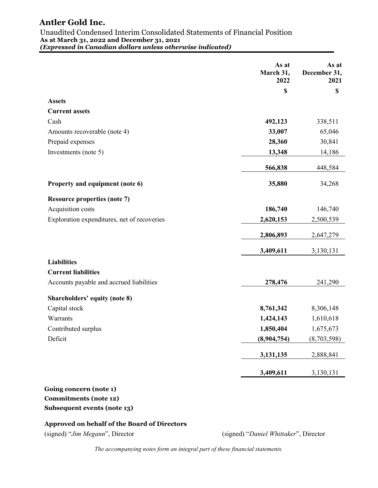Unaudited Condensed Interim Consolidated Statements of Financial Position As at March 31, 2022 and December 31, 2021 (Expressed in Canadian dollars unless otherwise indicated)

|                                             | As at<br>March 31,<br>2022 | As at<br>December 31,<br>2021 |
|---------------------------------------------|----------------------------|-------------------------------|
|                                             | \$                         | \$                            |
| <b>Assets</b>                               |                            |                               |
| <b>Current assets</b>                       |                            |                               |
| Cash                                        | 492,123                    | 338,511                       |
| Amounts recoverable (note 4)                | 33,007                     | 65,046                        |
| Prepaid expenses                            | 28,360                     | 30,841                        |
| Investments (note 5)                        | 13,348                     | 14,186                        |
|                                             | 566,838                    | 448,584                       |
| Property and equipment (note 6)             | 35,880                     | 34,268                        |
| <b>Resource properties (note 7)</b>         |                            |                               |
| Acquisition costs                           | 186,740                    | 146,740                       |
| Exploration expenditures, net of recoveries | 2,620,153                  | 2,500,539                     |
|                                             | 2,806,893                  | 2,647,279                     |
|                                             | 3,409,611                  | 3,130,131                     |
| <b>Liabilities</b>                          |                            |                               |
| <b>Current liabilities</b>                  |                            |                               |
| Accounts payable and accrued liabilities    | 278,476                    | 241,290                       |
| Shareholders' equity (note 8)               |                            |                               |
| Capital stock                               | 8,761,342                  | 8,306,148                     |
| Warrants                                    | 1,424,143                  | 1,610,618                     |
| Contributed surplus                         | 1,850,404                  | 1,675,673                     |
| Deficit                                     | (8,904,754)                | (8,703,598)                   |
|                                             | 3,131,135                  | 2,888,841                     |
|                                             | 3,409,611                  | 3,130,131                     |
|                                             |                            |                               |

## Going concern (note 1) Commitments (note 12) Subsequent events (note 13)

## Approved on behalf of the Board of Directors

(signed) "Jim Megann", Director (signed) "Daniel Whittaker", Director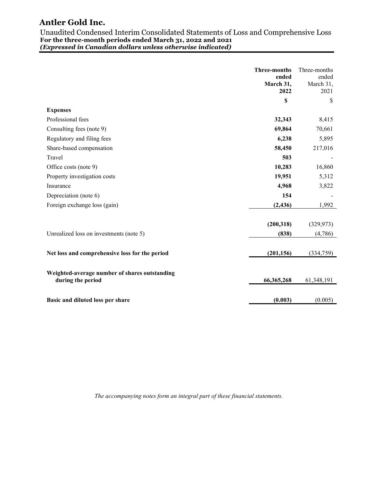Unaudited Condensed Interim Consolidated Statements of Loss and Comprehensive Loss For the three-month periods ended March 31, 2022 and 2021 (Expressed in Canadian dollars unless otherwise indicated)

|                                                | <b>Three-months</b><br>ended<br>March 31,<br>2022 | Three-months<br>ended<br>March 31,<br>2021 |
|------------------------------------------------|---------------------------------------------------|--------------------------------------------|
|                                                | \$                                                | <sup>\$</sup>                              |
| <b>Expenses</b>                                |                                                   |                                            |
| Professional fees                              | 32,343                                            | 8,415                                      |
| Consulting fees (note 9)                       | 69,864                                            | 70,661                                     |
| Regulatory and filing fees                     | 6,238                                             | 5,895                                      |
| Share-based compensation                       | 58,450                                            | 217,016                                    |
| Travel                                         | 503                                               |                                            |
| Office costs (note 9)                          | 10,283                                            | 16,860                                     |
| Property investigation costs                   | 19,951                                            | 5,312                                      |
| Insurance                                      | 4,968                                             | 3,822                                      |
| Depreciation (note 6)                          | 154                                               |                                            |
| Foreign exchange loss (gain)                   | (2, 436)                                          | 1,992                                      |
|                                                |                                                   |                                            |
|                                                | (200, 318)                                        | (329, 973)                                 |
| Unrealized loss on investments (note 5)        | (838)                                             | (4,786)                                    |
|                                                |                                                   |                                            |
| Net loss and comprehensive loss for the period | (201, 156)                                        | (334,759)                                  |
|                                                |                                                   |                                            |
| Weighted-average number of shares outstanding  |                                                   |                                            |
| during the period                              | 66,365,268                                        | 61,348,191                                 |
|                                                |                                                   |                                            |
| Basic and diluted loss per share               | (0.003)                                           | (0.005)                                    |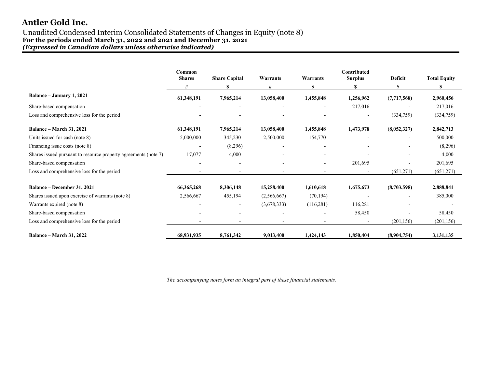#### Unaudited Condensed Interim Consolidated Statements of Changes in Equity (note 8) For the periods ended March 31, 2022 and 2021 and December 31, 2021 (Expressed in Canadian dollars unless otherwise indicated)

|                                                                 | Common<br><b>Shares</b>  | <b>Share Capital</b> | Warrants    | Warrants                 | Contributed<br><b>Surplus</b> | Deficit     | <b>Total Equity</b> |
|-----------------------------------------------------------------|--------------------------|----------------------|-------------|--------------------------|-------------------------------|-------------|---------------------|
|                                                                 | #                        | \$                   | #           | \$                       | \$                            | S           | S                   |
| Balance - January 1, 2021                                       | 61,348,191               | 7,965,214            | 13,058,400  | 1,455,848                | 1,256,962                     | (7,717,568) | 2,960,456           |
| Share-based compensation                                        |                          |                      |             | $\overline{\phantom{a}}$ | 217,016                       |             | 217,016             |
| Loss and comprehensive loss for the period                      |                          |                      |             |                          |                               | (334,759)   | (334,759)           |
| <b>Balance – March 31, 2021</b>                                 | 61,348,191               | 7,965,214            | 13,058,400  | 1,455,848                | 1,473,978                     | (8,052,327) | 2,842,713           |
| Units issued for cash (note 8)                                  | 5,000,000                | 345,230              | 2,500,000   | 154,770                  |                               |             | 500,000             |
| Financing issue costs (note 8)                                  | $\overline{\phantom{0}}$ | (8,296)              |             |                          |                               |             | (8,296)             |
| Shares issued pursuant to resource property agreements (note 7) | 17,077                   | 4,000                |             |                          |                               |             | 4,000               |
| Share-based compensation                                        |                          |                      |             |                          | 201,695                       |             | 201,695             |
| Loss and comprehensive loss for the period                      |                          |                      |             |                          |                               | (651,271)   | (651,271)           |
| <b>Balance – December 31, 2021</b>                              | 66, 365, 268             | 8,306,148            | 15,258,400  | 1,610,618                | 1,675,673                     | (8,703,598) | 2,888,841           |
| Shares issued upon exercise of warrants (note 8)                | 2,566,667                | 455,194              | (2,566,667) | (70, 194)                |                               |             | 385,000             |
| Warrants expired (note 8)                                       |                          |                      | (3,678,333) | (116,281)                | 116,281                       |             |                     |
| Share-based compensation                                        |                          |                      |             |                          | 58,450                        |             | 58,450              |
| Loss and comprehensive loss for the period                      |                          |                      |             |                          |                               | (201, 156)  | (201, 156)          |
| <b>Balance – March 31, 2022</b>                                 | 68,931,935               | 8,761,342            | 9,013,400   | 1,424,143                | 1,850,404                     | (8,904,754) | 3,131,135           |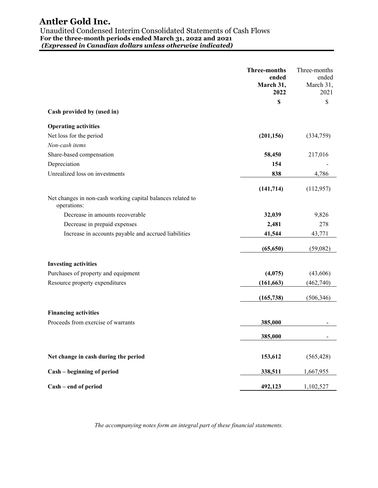## Antler Gold Inc. Unaudited Condensed Interim Consolidated Statements of Cash Flows For the three-month periods ended March 31, 2022 and 2021 (Expressed in Canadian dollars unless otherwise indicated)

 Three-months ended March 31, 2022 Three-months ended March 31. 2021  $\mathbb{S}$   $\mathbb{S}$ Cash provided by (used in) Operating activities Net loss for the period (201,156) (334,759) Non-cash items Share-based compensation 68,450 217,016 Depreciation 154 Unrealized loss on investments 638 638 4,786  $(141,714)$   $(112,957)$ Net changes in non-cash working capital balances related to operations: Decrease in amounts recoverable 32,039 9,826 Decrease in prepaid expenses 2,481 278 Increase in accounts payable and accrued liabilities 41,544 43,771  $(65,650)$   $(59,082)$ Investing activities Purchases of property and equipment (4,075) (43,606) Resource property expenditures (161,663) (462,740)  $(165,738)$   $(506,346)$ Financing activities Proceeds from exercise of warrants 385,000  $\frac{385,000}{2}$ 385,000 - Net change in cash during the period 153,612 (565,428) Cash – beginning of period 338,511 1,667,955 Cash – end of period 492,123 1,102,527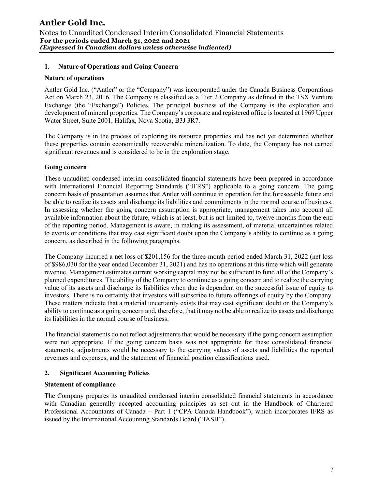### 1. Nature of Operations and Going Concern

#### Nature of operations

Antler Gold Inc. ("Antler" or the "Company") was incorporated under the Canada Business Corporations Act on March 23, 2016. The Company is classified as a Tier 2 Company as defined in the TSX Venture Exchange (the "Exchange") Policies. The principal business of the Company is the exploration and development of mineral properties. The Company's corporate and registered office is located at 1969 Upper Water Street, Suite 2001, Halifax, Nova Scotia, B3J 3R7.

The Company is in the process of exploring its resource properties and has not yet determined whether these properties contain economically recoverable mineralization. To date, the Company has not earned significant revenues and is considered to be in the exploration stage.

#### Going concern

These unaudited condensed interim consolidated financial statements have been prepared in accordance with International Financial Reporting Standards ("IFRS") applicable to a going concern. The going concern basis of presentation assumes that Antler will continue in operation for the foreseeable future and be able to realize its assets and discharge its liabilities and commitments in the normal course of business. In assessing whether the going concern assumption is appropriate, management takes into account all available information about the future, which is at least, but is not limited to, twelve months from the end of the reporting period. Management is aware, in making its assessment, of material uncertainties related to events or conditions that may cast significant doubt upon the Company's ability to continue as a going concern, as described in the following paragraphs.

The Company incurred a net loss of \$201,156 for the three-month period ended March 31, 2022 (net loss of \$986,030 for the year ended December 31, 2021) and has no operations at this time which will generate revenue. Management estimates current working capital may not be sufficient to fund all of the Company's planned expenditures. The ability of the Company to continue as a going concern and to realize the carrying value of its assets and discharge its liabilities when due is dependent on the successful issue of equity to investors. There is no certainty that investors will subscribe to future offerings of equity by the Company. These matters indicate that a material uncertainty exists that may cast significant doubt on the Company's ability to continue as a going concern and, therefore, that it may not be able to realize its assets and discharge its liabilities in the normal course of business.

The financial statements do not reflect adjustments that would be necessary if the going concern assumption were not appropriate. If the going concern basis was not appropriate for these consolidated financial statements, adjustments would be necessary to the carrying values of assets and liabilities the reported revenues and expenses, and the statement of financial position classifications used.

#### 2. Significant Accounting Policies

#### Statement of compliance

The Company prepares its unaudited condensed interim consolidated financial statements in accordance with Canadian generally accepted accounting principles as set out in the Handbook of Chartered Professional Accountants of Canada – Part 1 ("CPA Canada Handbook"), which incorporates IFRS as issued by the International Accounting Standards Board ("IASB").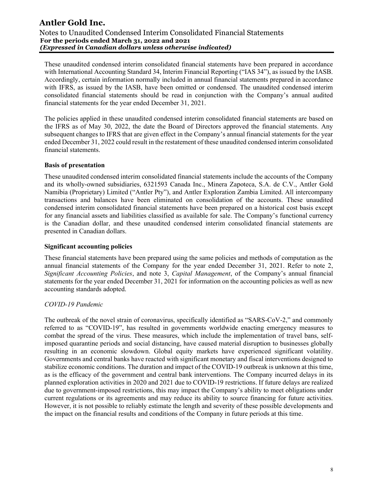These unaudited condensed interim consolidated financial statements have been prepared in accordance with International Accounting Standard 34, Interim Financial Reporting ("IAS 34"), as issued by the IASB. Accordingly, certain information normally included in annual financial statements prepared in accordance with IFRS, as issued by the IASB, have been omitted or condensed. The unaudited condensed interim consolidated financial statements should be read in conjunction with the Company's annual audited financial statements for the year ended December 31, 2021.

The policies applied in these unaudited condensed interim consolidated financial statements are based on the IFRS as of May 30, 2022, the date the Board of Directors approved the financial statements. Any subsequent changes to IFRS that are given effect in the Company's annual financial statements for the year ended December 31, 2022 could result in the restatement of these unaudited condensed interim consolidated financial statements.

#### Basis of presentation

These unaudited condensed interim consolidated financial statements include the accounts of the Company and its wholly-owned subsidiaries, 6321593 Canada Inc., Minera Zapoteca, S.A. de C.V., Antler Gold Namibia (Proprietary) Limited ("Antler Pty"), and Antler Exploration Zambia Limited. All intercompany transactions and balances have been eliminated on consolidation of the accounts. These unaudited condensed interim consolidated financial statements have been prepared on a historical cost basis except for any financial assets and liabilities classified as available for sale. The Company's functional currency is the Canadian dollar, and these unaudited condensed interim consolidated financial statements are presented in Canadian dollars.

#### Significant accounting policies

These financial statements have been prepared using the same policies and methods of computation as the annual financial statements of the Company for the year ended December 31, 2021. Refer to note 2, Significant Accounting Policies, and note 3, Capital Management, of the Company's annual financial statements for the year ended December 31, 2021 for information on the accounting policies as well as new accounting standards adopted.

## COVID-19 Pandemic

The outbreak of the novel strain of coronavirus, specifically identified as "SARS-CoV-2," and commonly referred to as "COVID-19", has resulted in governments worldwide enacting emergency measures to combat the spread of the virus. These measures, which include the implementation of travel bans, selfimposed quarantine periods and social distancing, have caused material disruption to businesses globally resulting in an economic slowdown. Global equity markets have experienced significant volatility. Governments and central banks have reacted with significant monetary and fiscal interventions designed to stabilize economic conditions. The duration and impact of the COVID-19 outbreak is unknown at this time, as is the efficacy of the government and central bank interventions. The Company incurred delays in its planned exploration activities in 2020 and 2021 due to COVID-19 restrictions. If future delays are realized due to government-imposed restrictions, this may impact the Company's ability to meet obligations under current regulations or its agreements and may reduce its ability to source financing for future activities. However, it is not possible to reliably estimate the length and severity of these possible developments and the impact on the financial results and conditions of the Company in future periods at this time.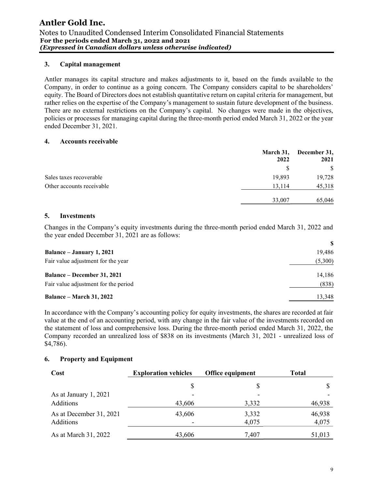### 3. Capital management

Antler manages its capital structure and makes adjustments to it, based on the funds available to the Company, in order to continue as a going concern. The Company considers capital to be shareholders' equity. The Board of Directors does not establish quantitative return on capital criteria for management, but rather relies on the expertise of the Company's management to sustain future development of the business. There are no external restrictions on the Company's capital. No changes were made in the objectives, policies or processes for managing capital during the three-month period ended March 31, 2022 or the year ended December 31, 2021.

#### 4. Accounts receivable

|                           | March 31,<br>2022 | December 31,<br>2021 |
|---------------------------|-------------------|----------------------|
|                           | S                 | <sup>\$</sup>        |
| Sales taxes recoverable   | 19,893            | 19,728               |
| Other accounts receivable | 13,114            | 45,318               |
|                           | 33,007            | 65,046               |

#### 5. Investments

Changes in the Company's equity investments during the three-month period ended March 31, 2022 and the year ended December 31, 2021 are as follows:

| Balance – January 1, 2021            | 19,486  |
|--------------------------------------|---------|
| Fair value adjustment for the year   | (5,300) |
| <b>Balance – December 31, 2021</b>   | 14,186  |
| Fair value adjustment for the period | (838)   |
| <b>Balance – March 31, 2022</b>      | 13,348  |

In accordance with the Company's accounting policy for equity investments, the shares are recorded at fair value at the end of an accounting period, with any change in the fair value of the investments recorded on the statement of loss and comprehensive loss. During the three-month period ended March 31, 2022, the Company recorded an unrealized loss of \$838 on its investments (March 31, 2021 - unrealized loss of \$4,786).

## 6. Property and Equipment

| Cost                    | <b>Exploration vehicles</b> | <b>Office equipment</b> | <b>Total</b> |
|-------------------------|-----------------------------|-------------------------|--------------|
|                         | S                           | S                       |              |
| As at January 1, 2021   |                             |                         |              |
| Additions               | 43,606                      | 3,332                   | 46,938       |
| As at December 31, 2021 | 43,606                      | 3,332                   | 46,938       |
| Additions               |                             | 4,075                   | 4,075        |
| As at March 31, 2022    | 43,606                      | 7,407                   | 51,013       |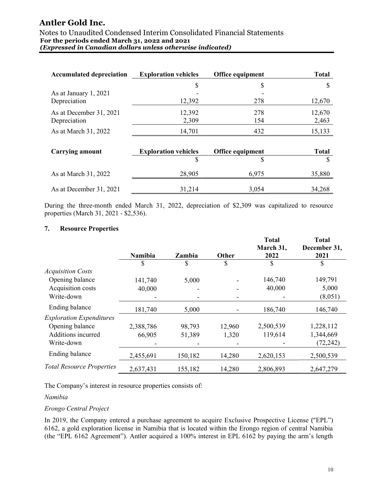#### Notes to Unaudited Condensed Interim Consolidated Financial Statements For the periods ended March 31, 2022 and 2021 (Expressed in Canadian dollars unless otherwise indicated)

| <b>Accumulated depreciation</b> | <b>Exploration vehicles</b> | Office equipment | <b>Total</b> |
|---------------------------------|-----------------------------|------------------|--------------|
|                                 |                             | \$               |              |
| As at January 1, 2021           |                             |                  |              |
| Depreciation                    | 12,392                      | 278              | 12,670       |
| As at December 31, 2021         | 12,392                      | 278              | 12,670       |
| Depreciation                    | 2,309                       | 154              | 2,463        |
| As at March 31, 2022            | 14,701                      |                  | 15,133       |

| <b>Carrying amount</b>  | <b>Exploration vehicles</b> | <b>Office equipment</b> | Total  |
|-------------------------|-----------------------------|-------------------------|--------|
|                         |                             |                         |        |
| As at March 31, 2022    | 28,905                      | 6.975                   | 35,880 |
| As at December 31, 2021 | 31.214                      | 3.054                   | 34,268 |

During the three-month ended March 31, 2022, depreciation of \$2,309 was capitalized to resource properties (March 31, 2021 - \$2,536).

### 7. Resource Properties

|                                  | <b>Namibia</b> | Zambia  | <b>Other</b> | <b>Total</b><br>March 31,<br>2022 | <b>Total</b><br>December 31,<br>2021 |
|----------------------------------|----------------|---------|--------------|-----------------------------------|--------------------------------------|
|                                  | \$             | \$      | \$           | \$                                | S                                    |
| <b>Acquisition Costs</b>         |                |         |              |                                   |                                      |
| Opening balance                  | 141,740        | 5,000   |              | 146,740                           | 149,791                              |
| Acquisition costs                | 40,000         |         |              | 40,000                            | 5,000                                |
| Write-down                       |                |         |              |                                   | (8,051)                              |
| Ending balance                   | 181,740        | 5,000   |              | 186,740                           | 146,740                              |
| <b>Exploration Expenditures</b>  |                |         |              |                                   |                                      |
| Opening balance                  | 2,388,786      | 98,793  | 12,960       | 2,500,539                         | 1,228,112                            |
| Additions incurred               | 66,905         | 51,389  | 1,320        | 119,614                           | 1,344,669                            |
| Write-down                       |                |         |              |                                   | (72, 242)                            |
| Ending balance                   | 2,455,691      | 150,182 | 14,280       | 2,620,153                         | 2,500,539                            |
| <b>Total Resource Properties</b> | 2,637,431      | 155,182 | 14,280       | 2,806,893                         | 2,647,279                            |

The Company's interest in resource properties consists of:

#### Namibia

#### Erongo Central Project

In 2019, the Company entered a purchase agreement to acquire Exclusive Prospective License ("EPL") 6162, a gold exploration license in Namibia that is located within the Erongo region of central Namibia (the "EPL 6162 Agreement"). Antler acquired a 100% interest in EPL 6162 by paying the arm's length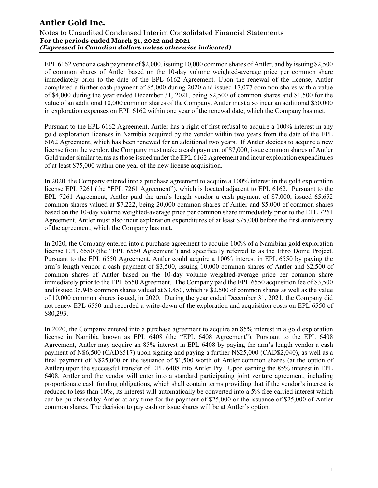EPL 6162 vendor a cash payment of \$2,000, issuing 10,000 common shares of Antler, and by issuing \$2,500 of common shares of Antler based on the 10-day volume weighted-average price per common share immediately prior to the date of the EPL 6162 Agreement. Upon the renewal of the license, Antler completed a further cash payment of \$5,000 during 2020 and issued 17,077 common shares with a value of \$4,000 during the year ended December 31, 2021, being \$2,500 of common shares and \$1,500 for the value of an additional 10,000 common shares of the Company. Antler must also incur an additional \$50,000 in exploration expenses on EPL 6162 within one year of the renewal date, which the Company has met.

Pursuant to the EPL 6162 Agreement, Antler has a right of first refusal to acquire a 100% interest in any gold exploration licenses in Namibia acquired by the vendor within two years from the date of the EPL 6162 Agreement, which has been renewed for an additional two years. If Antler decides to acquire a new license from the vendor, the Company must make a cash payment of \$7,000, issue common shares of Antler Gold under similar terms as those issued under the EPL 6162 Agreement and incur exploration expenditures of at least \$75,000 within one year of the new license acquisition.

In 2020, the Company entered into a purchase agreement to acquire a 100% interest in the gold exploration license EPL 7261 (the "EPL 7261 Agreement"), which is located adjacent to EPL 6162. Pursuant to the EPL 7261 Agreement, Antler paid the arm's length vendor a cash payment of \$7,000, issued 65,652 common shares valued at \$7,222, being 20,000 common shares of Antler and \$5,000 of common shares based on the 10-day volume weighted-average price per common share immediately prior to the EPL 7261 Agreement. Antler must also incur exploration expenditures of at least \$75,000 before the first anniversary of the agreement, which the Company has met.

In 2020, the Company entered into a purchase agreement to acquire 100% of a Namibian gold exploration license EPL 6550 (the "EPL 6550 Agreement") and specifically referred to as the Etiro Dome Project. Pursuant to the EPL 6550 Agreement, Antler could acquire a 100% interest in EPL 6550 by paying the arm's length vendor a cash payment of \$3,500, issuing 10,000 common shares of Antler and \$2,500 of common shares of Antler based on the 10-day volume weighted-average price per common share immediately prior to the EPL 6550 Agreement. The Company paid the EPL 6550 acquisition fee of \$3,500 and issued 35,945 common shares valued at \$3,450, which is \$2,500 of common shares as well as the value of 10,000 common shares issued, in 2020. During the year ended December 31, 2021, the Company did not renew EPL 6550 and recorded a write-down of the exploration and acquisition costs on EPL 6550 of \$80,293.

In 2020, the Company entered into a purchase agreement to acquire an 85% interest in a gold exploration license in Namibia known as EPL 6408 (the "EPL 6408 Agreement"). Pursuant to the EPL 6408 Agreement, Antler may acquire an 85% interest in EPL 6408 by paying the arm's length vendor a cash payment of N\$6,500 (CAD\$517) upon signing and paying a further N\$25,000 (CAD\$2,040), as well as a final payment of N\$25,000 or the issuance of \$1,500 worth of Antler common shares (at the option of Antler) upon the successful transfer of EPL 6408 into Antler Pty. Upon earning the 85% interest in EPL 6408, Antler and the vendor will enter into a standard participating joint venture agreement, including proportionate cash funding obligations, which shall contain terms providing that if the vendor's interest is reduced to less than 10%, its interest will automatically be converted into a 5% free carried interest which can be purchased by Antler at any time for the payment of \$25,000 or the issuance of \$25,000 of Antler common shares. The decision to pay cash or issue shares will be at Antler's option.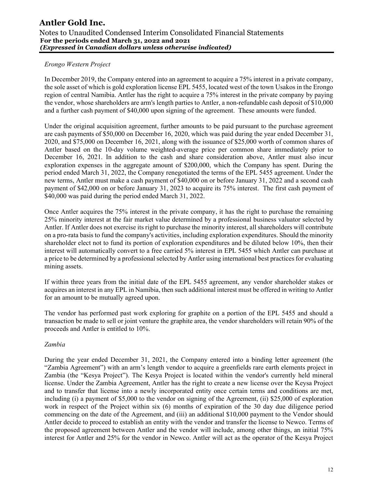### Erongo Western Project

In December 2019, the Company entered into an agreement to acquire a 75% interest in a private company, the sole asset of which is gold exploration license EPL 5455, located west of the town Usakos in the Erongo region of central Namibia. Antler has the right to acquire a 75% interest in the private company by paying the vendor, whose shareholders are arm's length parties to Antler, a non-refundable cash deposit of \$10,000 and a further cash payment of \$40,000 upon signing of the agreement. These amounts were funded.

Under the original acquisition agreement, further amounts to be paid pursuant to the purchase agreement are cash payments of \$50,000 on December 16, 2020, which was paid during the year ended December 31, 2020, and \$75,000 on December 16, 2021, along with the issuance of \$25,000 worth of common shares of Antler based on the 10-day volume weighted-average price per common share immediately prior to December 16, 2021. In addition to the cash and share consideration above, Antler must also incur exploration expenses in the aggregate amount of \$200,000, which the Company has spent. During the period ended March 31, 2022, the Company renegotiated the terms of the EPL 5455 agreement. Under the new terms, Antler must make a cash payment of \$40,000 on or before January 31, 2022 and a second cash payment of \$42,000 on or before January 31, 2023 to acquire its 75% interest. The first cash payment of \$40,000 was paid during the period ended March 31, 2022.

Once Antler acquires the 75% interest in the private company, it has the right to purchase the remaining 25% minority interest at the fair market value determined by a professional business valuator selected by Antler. If Antler does not exercise its right to purchase the minority interest, all shareholders will contribute on a pro-rata basis to fund the company's activities, including exploration expenditures. Should the minority shareholder elect not to fund its portion of exploration expenditures and be diluted below 10%, then their interest will automatically convert to a free carried 5% interest in EPL 5455 which Antler can purchase at a price to be determined by a professional selected by Antler using international best practices for evaluating mining assets.

If within three years from the initial date of the EPL 5455 agreement, any vendor shareholder stakes or acquires an interest in any EPL in Namibia, then such additional interest must be offered in writing to Antler for an amount to be mutually agreed upon.

The vendor has performed past work exploring for graphite on a portion of the EPL 5455 and should a transaction be made to sell or joint venture the graphite area, the vendor shareholders will retain 90% of the proceeds and Antler is entitled to 10%.

#### Zambia

During the year ended December 31, 2021, the Company entered into a binding letter agreement (the "Zambia Agreement") with an arm's length vendor to acquire a greenfields rare earth elements project in Zambia (the "Kesya Project"). The Kesya Project is located within the vendor's currently held mineral license. Under the Zambia Agreement, Antler has the right to create a new license over the Keysa Project and to transfer that license into a newly incorporated entity once certain terms and conditions are met, including (i) a payment of \$5,000 to the vendor on signing of the Agreement, (ii) \$25,000 of exploration work in respect of the Project within six (6) months of expiration of the 30 day due diligence period commencing on the date of the Agreement, and (iii) an additional \$10,000 payment to the Vendor should Antler decide to proceed to establish an entity with the vendor and transfer the license to Newco. Terms of the proposed agreement between Antler and the vendor will include, among other things, an initial 75% interest for Antler and 25% for the vendor in Newco. Antler will act as the operator of the Kesya Project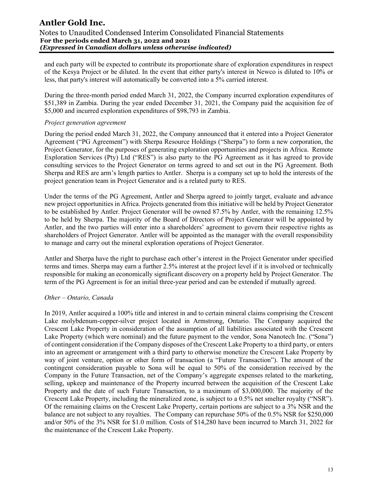and each party will be expected to contribute its proportionate share of exploration expenditures in respect of the Kesya Project or be diluted. In the event that either party's interest in Newco is diluted to 10% or less, that party's interest will automatically be converted into a 5% carried interest.

During the three-month period ended March 31, 2022, the Company incurred exploration expenditures of \$51,389 in Zambia. During the year ended December 31, 2021, the Company paid the acquisition fee of \$5,000 and incurred exploration expenditures of \$98,793 in Zambia.

#### Project generation agreement

During the period ended March 31, 2022, the Company announced that it entered into a Project Generator Agreement ("PG Agreement") with Sherpa Resource Holdings ("Sherpa") to form a new corporation, the Project Generator, for the purposes of generating exploration opportunities and projects in Africa. Remote Exploration Services (Pty) Ltd ("RES") is also party to the PG Agreement as it has agreed to provide consulting services to the Project Generator on terms agreed to and set out in the PG Agreement. Both Sherpa and RES are arm's length parties to Antler. Sherpa is a company set up to hold the interests of the project generation team in Project Generator and is a related party to RES.

Under the terms of the PG Agreement, Antler and Sherpa agreed to jointly target, evaluate and advance new project opportunities in Africa. Projects generated from this initiative will be held by Project Generator to be established by Antler. Project Generator will be owned 87.5% by Antler, with the remaining 12.5% to be held by Sherpa. The majority of the Board of Directors of Project Generator will be appointed by Antler, and the two parties will enter into a shareholders' agreement to govern their respective rights as shareholders of Project Generator. Antler will be appointed as the manager with the overall responsibility to manage and carry out the mineral exploration operations of Project Generator.

Antler and Sherpa have the right to purchase each other's interest in the Project Generator under specified terms and times. Sherpa may earn a further 2.5% interest at the project level if it is involved or technically responsible for making an economically significant discovery on a property held by Project Generator. The term of the PG Agreement is for an initial three-year period and can be extended if mutually agreed.

#### Other – Ontario, Canada

In 2019, Antler acquired a 100% title and interest in and to certain mineral claims comprising the Crescent Lake molybdenum-copper-silver project located in Armstrong, Ontario. The Company acquired the Crescent Lake Property in consideration of the assumption of all liabilities associated with the Crescent Lake Property (which were nominal) and the future payment to the vendor, Sona Nanotech Inc. ("Sona") of contingent consideration if the Company disposes of the Crescent Lake Property to a third party, or enters into an agreement or arrangement with a third party to otherwise monetize the Crescent Lake Property by way of joint venture, option or other form of transaction (a "Future Transaction"). The amount of the contingent consideration payable to Sona will be equal to 50% of the consideration received by the Company in the Future Transaction, net of the Company's aggregate expenses related to the marketing, selling, upkeep and maintenance of the Property incurred between the acquisition of the Crescent Lake Property and the date of such Future Transaction, to a maximum of \$3,000,000. The majority of the Crescent Lake Property, including the mineralized zone, is subject to a 0.5% net smelter royalty ("NSR"). Of the remaining claims on the Crescent Lake Property, certain portions are subject to a 3% NSR and the balance are not subject to any royalties. The Company can repurchase 50% of the 0.5% NSR for \$250,000 and/or 50% of the 3% NSR for \$1.0 million. Costs of \$14,280 have been incurred to March 31, 2022 for the maintenance of the Crescent Lake Property.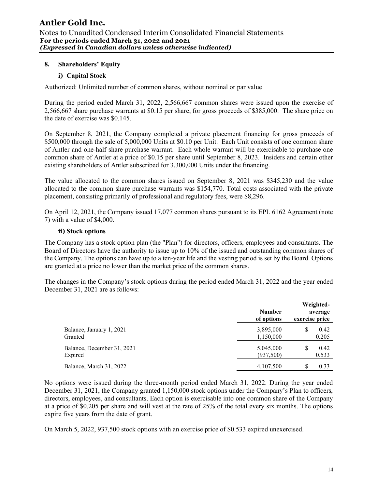### 8. Shareholders' Equity

### i) Capital Stock

Authorized: Unlimited number of common shares, without nominal or par value

During the period ended March 31, 2022, 2,566,667 common shares were issued upon the exercise of 2,566,667 share purchase warrants at \$0.15 per share, for gross proceeds of \$385,000. The share price on the date of exercise was \$0.145.

On September 8, 2021, the Company completed a private placement financing for gross proceeds of \$500,000 through the sale of 5,000,000 Units at \$0.10 per Unit. Each Unit consists of one common share of Antler and one-half share purchase warrant. Each whole warrant will be exercisable to purchase one common share of Antler at a price of \$0.15 per share until September 8, 2023. Insiders and certain other existing shareholders of Antler subscribed for 3,300,000 Units under the financing.

The value allocated to the common shares issued on September 8, 2021 was \$345,230 and the value allocated to the common share purchase warrants was \$154,770. Total costs associated with the private placement, consisting primarily of professional and regulatory fees, were \$8,296.

On April 12, 2021, the Company issued 17,077 common shares pursuant to its EPL 6162 Agreement (note 7) with a value of \$4,000.

#### ii) Stock options

The Company has a stock option plan (the "Plan") for directors, officers, employees and consultants. The Board of Directors have the authority to issue up to 10% of the issued and outstanding common shares of the Company. The options can have up to a ten-year life and the vesting period is set by the Board. Options are granted at a price no lower than the market price of the common shares.

The changes in the Company's stock options during the period ended March 31, 2022 and the year ended December 31, 2021 are as follows:

|                            | <b>Number</b><br>of options | exercise price | Weighted-<br>average |
|----------------------------|-----------------------------|----------------|----------------------|
| Balance, January 1, 2021   | 3,895,000                   |                | 0.42                 |
| Granted                    | 1,150,000                   |                | 0.205                |
| Balance, December 31, 2021 | 5,045,000                   |                | 0.42                 |
| Expired                    | (937,500)                   |                | 0.533                |
| Balance, March 31, 2022    | 4,107,500                   |                | 0.33                 |

No options were issued during the three-month period ended March 31, 2022. During the year ended December 31, 2021, the Company granted 1,150,000 stock options under the Company's Plan to officers, directors, employees, and consultants. Each option is exercisable into one common share of the Company at a price of \$0.205 per share and will vest at the rate of 25% of the total every six months. The options expire five years from the date of grant.

On March 5, 2022, 937,500 stock options with an exercise price of \$0.533 expired unexercised.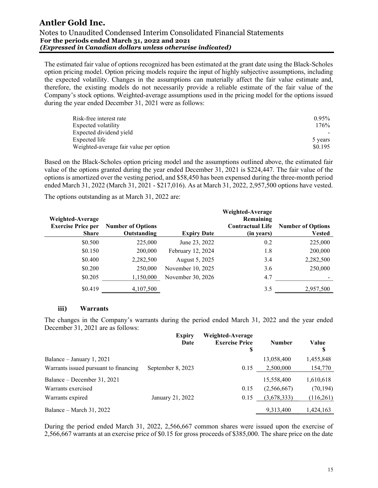The estimated fair value of options recognized has been estimated at the grant date using the Black-Scholes option pricing model. Option pricing models require the input of highly subjective assumptions, including the expected volatility. Changes in the assumptions can materially affect the fair value estimate and, therefore, the existing models do not necessarily provide a reliable estimate of the fair value of the Company's stock options. Weighted-average assumptions used in the pricing model for the options issued during the year ended December 31, 2021 were as follows:

| Risk-free interest rate                | $0.95\%$ |
|----------------------------------------|----------|
| Expected volatility                    | 176%     |
| Expected dividend yield                |          |
| Expected life                          | 5 years  |
| Weighted-average fair value per option | \$0.195  |

Based on the Black-Scholes option pricing model and the assumptions outlined above, the estimated fair value of the options granted during the year ended December 31, 2021 is \$224,447. The fair value of the options is amortized over the vesting period, and \$58,450 has been expensed during the three-month period ended March 31, 2022 (March 31, 2021 - \$217,016). As at March 31, 2022, 2,957,500 options have vested.

The options outstanding as at March 31, 2022 are:

| Weighted-Average<br><b>Exercise Price per</b> | <b>Number of Options</b> |                    | Weighted-Average<br>Remaining<br><b>Contractual Life</b> | <b>Number of Options</b> |
|-----------------------------------------------|--------------------------|--------------------|----------------------------------------------------------|--------------------------|
| <b>Share</b>                                  | Outstanding              | <b>Expiry Date</b> | (in years)                                               | <b>Vested</b>            |
| \$0.500                                       | 225,000                  | June 23, 2022      | 0.2                                                      | 225,000                  |
| \$0.150                                       | 200,000                  | February 12, 2024  | 1.8                                                      | 200,000                  |
| \$0.400                                       | 2,282,500                | August 5, 2025     | 3.4                                                      | 2,282,500                |
| \$0.200                                       | 250,000                  | November 10, 2025  | 3.6                                                      | 250,000                  |
| \$0.205                                       | 1,150,000                | November 30, 2026  | 4.7                                                      |                          |
| \$0.419                                       | 4,107,500                |                    | 3.5                                                      | 2,957,500                |

#### iii) Warrants

The changes in the Company's warrants during the period ended March 31, 2022 and the year ended December 31, 2021 are as follows:

|                                       | <b>Expiry</b><br>Date | Weighted-Average<br><b>Exercise Price</b><br>\$ | <b>Number</b> | Value<br>\$ |
|---------------------------------------|-----------------------|-------------------------------------------------|---------------|-------------|
| Balance – January 1, 2021             |                       |                                                 | 13,058,400    | 1,455,848   |
| Warrants issued pursuant to financing | September 8, 2023     | 0.15                                            | 2,500,000     | 154,770     |
| Balance – December 31, 2021           |                       |                                                 | 15,558,400    | 1,610,618   |
| Warrants exercised                    |                       | 0.15                                            | (2,566,667)   | (70, 194)   |
| Warrants expired                      | January 21, 2022      | 0.15                                            | (3,678,333)   | (116,261)   |
| Balance – March 31, 2022              |                       |                                                 | 9,313,400     | 1,424,163   |

During the period ended March 31, 2022, 2,566,667 common shares were issued upon the exercise of 2,566,667 warrants at an exercise price of \$0.15 for gross proceeds of \$385,000. The share price on the date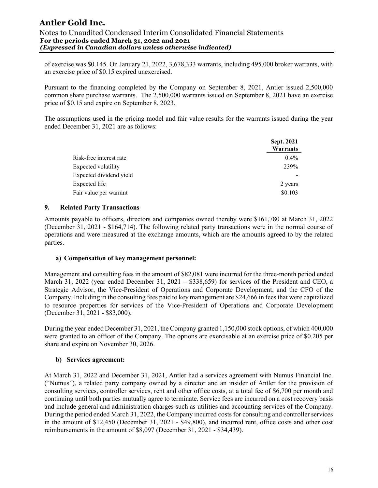#### Notes to Unaudited Condensed Interim Consolidated Financial Statements For the periods ended March 31, 2022 and 2021 (Expressed in Canadian dollars unless otherwise indicated)

of exercise was \$0.145. On January 21, 2022, 3,678,333 warrants, including 495,000 broker warrants, with an exercise price of \$0.15 expired unexercised.

Pursuant to the financing completed by the Company on September 8, 2021, Antler issued 2,500,000 common share purchase warrants. The 2,500,000 warrants issued on September 8, 2021 have an exercise price of \$0.15 and expire on September 8, 2023.

The assumptions used in the pricing model and fair value results for the warrants issued during the year ended December 31, 2021 are as follows:

|                         | Sept. 2021<br>Warrants |
|-------------------------|------------------------|
| Risk-free interest rate | $0.4\%$                |
| Expected volatility     | 239%                   |
| Expected dividend yield |                        |
| Expected life           | 2 years                |
| Fair value per warrant  | \$0.103                |

#### 9. Related Party Transactions

Amounts payable to officers, directors and companies owned thereby were \$161,780 at March 31, 2022 (December 31, 2021 - \$164,714). The following related party transactions were in the normal course of operations and were measured at the exchange amounts, which are the amounts agreed to by the related parties.

#### a) Compensation of key management personnel:

Management and consulting fees in the amount of \$82,081 were incurred for the three-month period ended March 31, 2022 (year ended December 31, 2021 – \$338,659) for services of the President and CEO, a Strategic Advisor, the Vice-President of Operations and Corporate Development, and the CFO of the Company. Including in the consulting fees paid to key management are \$24,666 in fees that were capitalized to resource properties for services of the Vice-President of Operations and Corporate Development (December 31, 2021 - \$83,000).

During the year ended December 31, 2021, the Company granted 1,150,000 stock options, of which 400,000 were granted to an officer of the Company. The options are exercisable at an exercise price of \$0.205 per share and expire on November 30, 2026.

#### b) Services agreement:

At March 31, 2022 and December 31, 2021, Antler had a services agreement with Numus Financial Inc. ("Numus"), a related party company owned by a director and an insider of Antler for the provision of consulting services, controller services, rent and other office costs, at a total fee of \$6,700 per month and continuing until both parties mutually agree to terminate. Service fees are incurred on a cost recovery basis and include general and administration charges such as utilities and accounting services of the Company. During the period ended March 31, 2022, the Company incurred costs for consulting and controller services in the amount of \$12,450 (December 31, 2021 - \$49,800), and incurred rent, office costs and other cost reimbursements in the amount of \$8,097 (December 31, 2021 - \$34,439).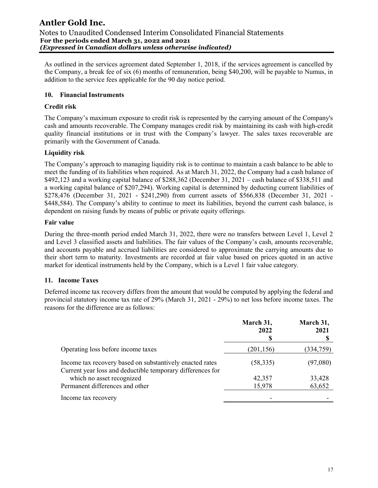As outlined in the services agreement dated September 1, 2018, if the services agreement is cancelled by the Company, a break fee of six (6) months of remuneration, being \$40,200, will be payable to Numus, in addition to the service fees applicable for the 90 day notice period.

## 10. Financial Instruments

## Credit risk

The Company's maximum exposure to credit risk is represented by the carrying amount of the Company's cash and amounts recoverable. The Company manages credit risk by maintaining its cash with high-credit quality financial institutions or in trust with the Company's lawyer. The sales taxes recoverable are primarily with the Government of Canada.

### Liquidity risk

The Company's approach to managing liquidity risk is to continue to maintain a cash balance to be able to meet the funding of its liabilities when required. As at March 31, 2022, the Company had a cash balance of \$492,123 and a working capital balance of \$288,362 (December 31, 2021 – cash balance of \$338,511 and a working capital balance of \$207,294). Working capital is determined by deducting current liabilities of \$278,476 (December 31, 2021 - \$241,290) from current assets of \$566,838 (December 31, 2021 - \$448,584). The Company's ability to continue to meet its liabilities, beyond the current cash balance, is dependent on raising funds by means of public or private equity offerings.

#### Fair value

During the three-month period ended March 31, 2022, there were no transfers between Level 1, Level 2 and Level 3 classified assets and liabilities. The fair values of the Company's cash, amounts recoverable, and accounts payable and accrued liabilities are considered to approximate the carrying amounts due to their short term to maturity. Investments are recorded at fair value based on prices quoted in an active market for identical instruments held by the Company, which is a Level 1 fair value category.

## 11. Income Taxes

Deferred income tax recovery differs from the amount that would be computed by applying the federal and provincial statutory income tax rate of 29% (March 31, 2021 - 29%) to net loss before income taxes. The reasons for the difference are as follows:

|                                                                                                                        | March 31,<br>2022<br>D | March 31,<br>2021 |
|------------------------------------------------------------------------------------------------------------------------|------------------------|-------------------|
| Operating loss before income taxes                                                                                     | (201, 156)             | (334,759)         |
| Income tax recovery based on substantively enacted rates<br>Current year loss and deductible temporary differences for | (58, 335)              | (97,080)          |
| which no asset recognized                                                                                              | 42,357                 | 33,428            |
| Permanent differences and other                                                                                        | 15,978                 | 63,652            |
| Income tax recovery                                                                                                    |                        |                   |